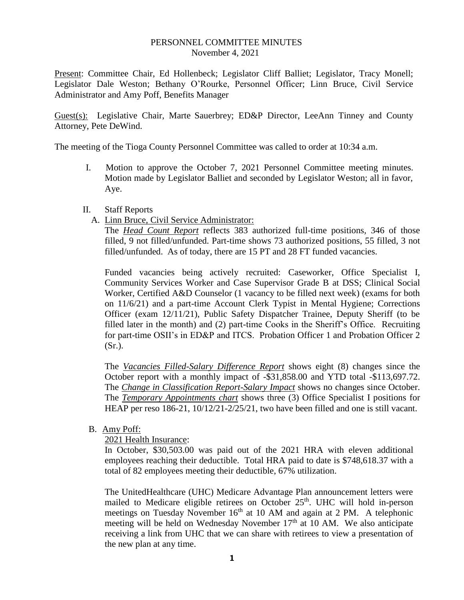#### PERSONNEL COMMITTEE MINUTES November 4, 2021

Present: Committee Chair, Ed Hollenbeck; Legislator Cliff Balliet; Legislator, Tracy Monell; Legislator Dale Weston; Bethany O'Rourke, Personnel Officer; Linn Bruce, Civil Service Administrator and Amy Poff, Benefits Manager

Guest(s): Legislative Chair, Marte Sauerbrey; ED&P Director, LeeAnn Tinney and County Attorney, Pete DeWind.

The meeting of the Tioga County Personnel Committee was called to order at 10:34 a.m.

I. Motion to approve the October 7, 2021 Personnel Committee meeting minutes. Motion made by Legislator Balliet and seconded by Legislator Weston; all in favor, Aye.

#### II. Staff Reports

A. Linn Bruce, Civil Service Administrator:

The *Head Count Report* reflects 383 authorized full-time positions, 346 of those filled, 9 not filled/unfunded. Part-time shows 73 authorized positions, 55 filled, 3 not filled/unfunded. As of today, there are 15 PT and 28 FT funded vacancies.

Funded vacancies being actively recruited: Caseworker, Office Specialist I, Community Services Worker and Case Supervisor Grade B at DSS; Clinical Social Worker, Certified A&D Counselor (1 vacancy to be filled next week) (exams for both on 11/6/21) and a part-time Account Clerk Typist in Mental Hygiene; Corrections Officer (exam 12/11/21), Public Safety Dispatcher Trainee, Deputy Sheriff (to be filled later in the month) and (2) part-time Cooks in the Sheriff's Office. Recruiting for part-time OSII's in ED&P and ITCS. Probation Officer 1 and Probation Officer 2 (Sr.).

The *Vacancies Filled-Salary Difference Report* shows eight (8) changes since the October report with a monthly impact of -\$31,858.00 and YTD total -\$113,697.72. The *Change in Classification Report-Salary Impact* shows no changes since October. The *Temporary Appointments chart* shows three (3) Office Specialist I positions for HEAP per reso 186-21, 10/12/21-2/25/21, two have been filled and one is still vacant.

B. Amy Poff:

2021 Health Insurance:

In October, \$30,503.00 was paid out of the 2021 HRA with eleven additional employees reaching their deductible. Total HRA paid to date is \$748,618.37 with a total of 82 employees meeting their deductible, 67% utilization.

The UnitedHealthcare (UHC) Medicare Advantage Plan announcement letters were mailed to Medicare eligible retirees on October  $25<sup>th</sup>$ . UHC will hold in-person meetings on Tuesday November  $16<sup>th</sup>$  at 10 AM and again at 2 PM. A telephonic meeting will be held on Wednesday November  $17<sup>th</sup>$  at 10 AM. We also anticipate receiving a link from UHC that we can share with retirees to view a presentation of the new plan at any time.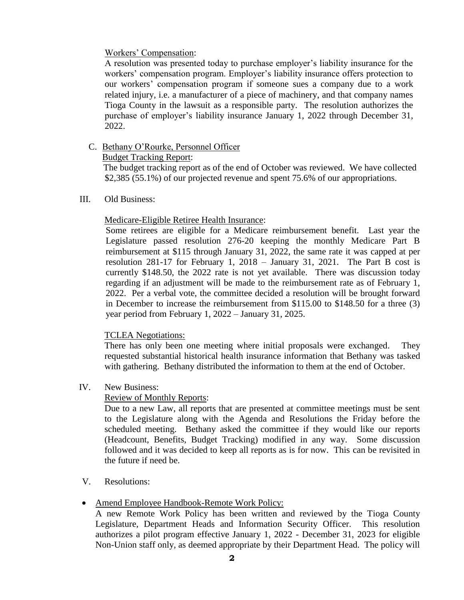### Workers' Compensation:

A resolution was presented today to purchase employer's liability insurance for the workers' compensation program. Employer's liability insurance offers protection to our workers' compensation program if someone sues a company due to a work related injury, i.e. a manufacturer of a piece of machinery, and that company names Tioga County in the lawsuit as a responsible party. The resolution authorizes the purchase of employer's liability insurance January 1, 2022 through December 31, 2022.

# C. Bethany O'Rourke, Personnel Officer

## Budget Tracking Report:

 The budget tracking report as of the end of October was reviewed. We have collected \$2,385 (55.1%) of our projected revenue and spent 75.6% of our appropriations.

### III. Old Business:

## Medicare-Eligible Retiree Health Insurance:

Some retirees are eligible for a Medicare reimbursement benefit. Last year the Legislature passed resolution 276-20 keeping the monthly Medicare Part B reimbursement at \$115 through January 31, 2022, the same rate it was capped at per resolution 281-17 for February 1, 2018 – January 31, 2021. The Part B cost is currently \$148.50, the 2022 rate is not yet available. There was discussion today regarding if an adjustment will be made to the reimbursement rate as of February 1, 2022. Per a verbal vote, the committee decided a resolution will be brought forward in December to increase the reimbursement from \$115.00 to \$148.50 for a three (3) year period from February 1, 2022 – January 31, 2025.

### TCLEA Negotiations:

There has only been one meeting where initial proposals were exchanged. They requested substantial historical health insurance information that Bethany was tasked with gathering. Bethany distributed the information to them at the end of October.

### IV. New Business:

### Review of Monthly Reports:

Due to a new Law, all reports that are presented at committee meetings must be sent to the Legislature along with the Agenda and Resolutions the Friday before the scheduled meeting. Bethany asked the committee if they would like our reports (Headcount, Benefits, Budget Tracking) modified in any way. Some discussion followed and it was decided to keep all reports as is for now. This can be revisited in the future if need be.

### V. Resolutions:

### • Amend Employee Handbook-Remote Work Policy:

A new Remote Work Policy has been written and reviewed by the Tioga County Legislature, Department Heads and Information Security Officer. This resolution authorizes a pilot program effective January 1, 2022 - December 31, 2023 for eligible Non-Union staff only, as deemed appropriate by their Department Head. The policy will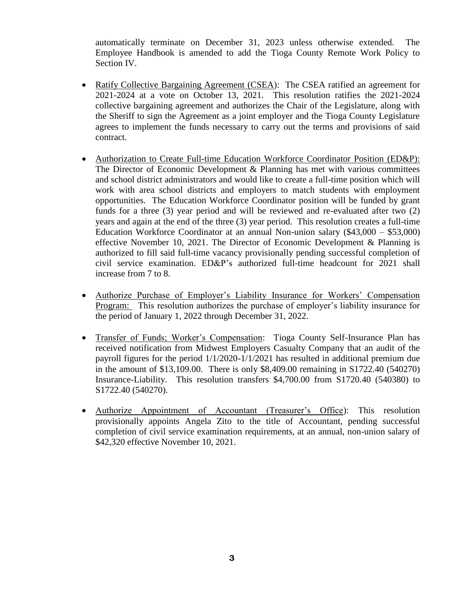automatically terminate on December 31, 2023 unless otherwise extended. The Employee Handbook is amended to add the Tioga County Remote Work Policy to Section IV.

- Ratify Collective Bargaining Agreement (CSEA): The CSEA ratified an agreement for 2021-2024 at a vote on October 13, 2021. This resolution ratifies the 2021-2024 collective bargaining agreement and authorizes the Chair of the Legislature, along with the Sheriff to sign the Agreement as a joint employer and the Tioga County Legislature agrees to implement the funds necessary to carry out the terms and provisions of said contract.
- Authorization to Create Full-time Education Workforce Coordinator Position (ED&P): The Director of Economic Development & Planning has met with various committees and school district administrators and would like to create a full-time position which will work with area school districts and employers to match students with employment opportunities. The Education Workforce Coordinator position will be funded by grant funds for a three (3) year period and will be reviewed and re-evaluated after two (2) years and again at the end of the three (3) year period. This resolution creates a full-time Education Workforce Coordinator at an annual Non-union salary (\$43,000 – \$53,000) effective November 10, 2021. The Director of Economic Development & Planning is authorized to fill said full-time vacancy provisionally pending successful completion of civil service examination. ED&P's authorized full-time headcount for 2021 shall increase from 7 to 8.
- Authorize Purchase of Employer's Liability Insurance for Workers' Compensation Program: This resolution authorizes the purchase of employer's liability insurance for the period of January 1, 2022 through December 31, 2022.
- Transfer of Funds; Worker's Compensation: Tioga County Self-Insurance Plan has received notification from Midwest Employers Casualty Company that an audit of the payroll figures for the period 1/1/2020-1/1/2021 has resulted in additional premium due in the amount of \$13,109.00. There is only \$8,409.00 remaining in S1722.40 (540270) Insurance-Liability. This resolution transfers \$4,700.00 from S1720.40 (540380) to S1722.40 (540270).
- Authorize Appointment of Accountant (Treasurer's Office): This resolution provisionally appoints Angela Zito to the title of Accountant, pending successful completion of civil service examination requirements, at an annual, non-union salary of \$42,320 effective November 10, 2021.